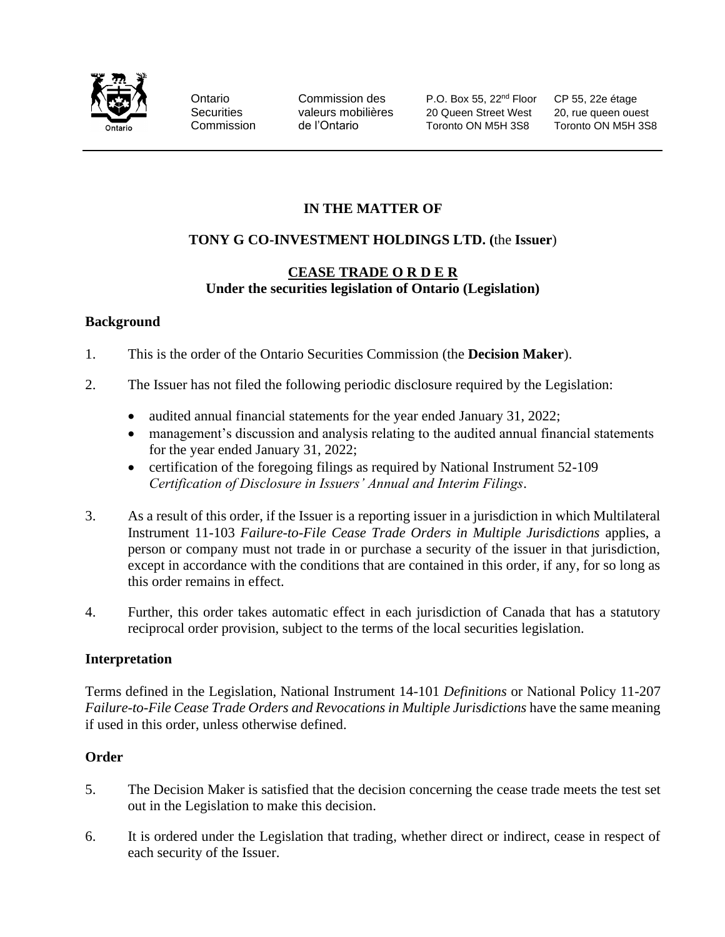

Ontario Commission des P.O. Box 55, 22<sup>nd</sup> Floor CP 55, 22e étage Securities valeurs mobilières 20 Queen Street West 20, rue queen ouest Commission de l'Ontario Toronto ON M5H 3S8 Toronto ON M5H 3S8

## **IN THE MATTER OF**

# **TONY G CO-INVESTMENT HOLDINGS LTD. (**the **Issuer**)

### **CEASE TRADE O R D E R Under the securities legislation of Ontario (Legislation)**

#### **Background**

- 1. This is the order of the Ontario Securities Commission (the **Decision Maker**).
- 2. The Issuer has not filed the following periodic disclosure required by the Legislation:
	- audited annual financial statements for the year ended January 31, 2022;
	- management's discussion and analysis relating to the audited annual financial statements for the year ended January 31, 2022;
	- certification of the foregoing filings as required by National Instrument 52-109 *Certification of Disclosure in Issuers' Annual and Interim Filings*.
- 3. As a result of this order, if the Issuer is a reporting issuer in a jurisdiction in which Multilateral Instrument 11-103 *Failure-to-File Cease Trade Orders in Multiple Jurisdictions* applies, a person or company must not trade in or purchase a security of the issuer in that jurisdiction, except in accordance with the conditions that are contained in this order, if any, for so long as this order remains in effect.
- 4. Further, this order takes automatic effect in each jurisdiction of Canada that has a statutory reciprocal order provision, subject to the terms of the local securities legislation.

#### **Interpretation**

Terms defined in the Legislation, National Instrument 14-101 *Definitions* or National Policy 11-207 *Failure-to-File Cease Trade Orders and Revocations in Multiple Jurisdictions have the same meaning* if used in this order, unless otherwise defined.

#### **Order**

- 5. The Decision Maker is satisfied that the decision concerning the cease trade meets the test set out in the Legislation to make this decision.
- 6. It is ordered under the Legislation that trading, whether direct or indirect, cease in respect of each security of the Issuer.